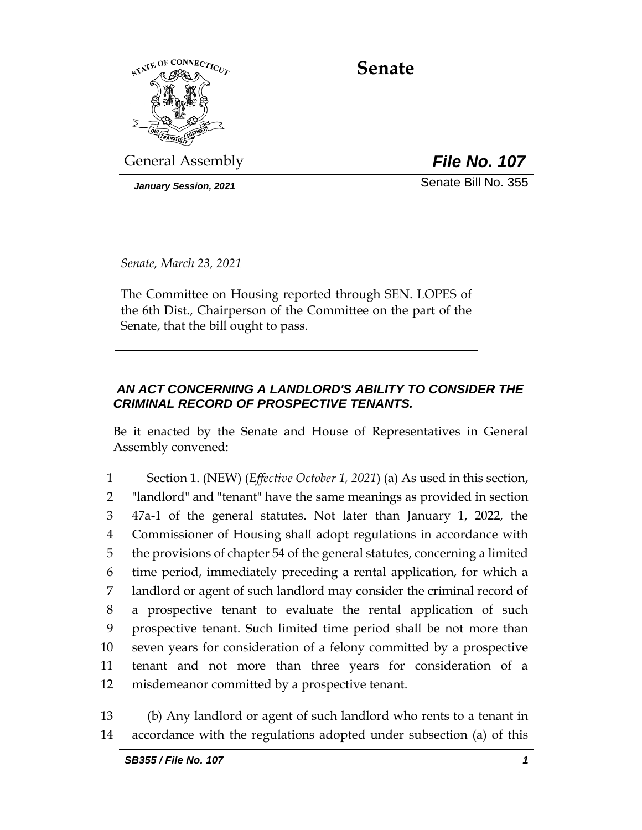

**Senate**

General Assembly *File No. 107*

*January Session, 2021* Senate Bill No. 355

*Senate, March 23, 2021*

The Committee on Housing reported through SEN. LOPES of the 6th Dist., Chairperson of the Committee on the part of the Senate, that the bill ought to pass.

# *AN ACT CONCERNING A LANDLORD'S ABILITY TO CONSIDER THE CRIMINAL RECORD OF PROSPECTIVE TENANTS.*

Be it enacted by the Senate and House of Representatives in General Assembly convened:

 Section 1. (NEW) (*Effective October 1, 2021*) (a) As used in this section, "landlord" and "tenant" have the same meanings as provided in section 47a-1 of the general statutes. Not later than January 1, 2022, the Commissioner of Housing shall adopt regulations in accordance with the provisions of chapter 54 of the general statutes, concerning a limited time period, immediately preceding a rental application, for which a landlord or agent of such landlord may consider the criminal record of a prospective tenant to evaluate the rental application of such prospective tenant. Such limited time period shall be not more than seven years for consideration of a felony committed by a prospective tenant and not more than three years for consideration of a misdemeanor committed by a prospective tenant.

13 (b) Any landlord or agent of such landlord who rents to a tenant in 14 accordance with the regulations adopted under subsection (a) of this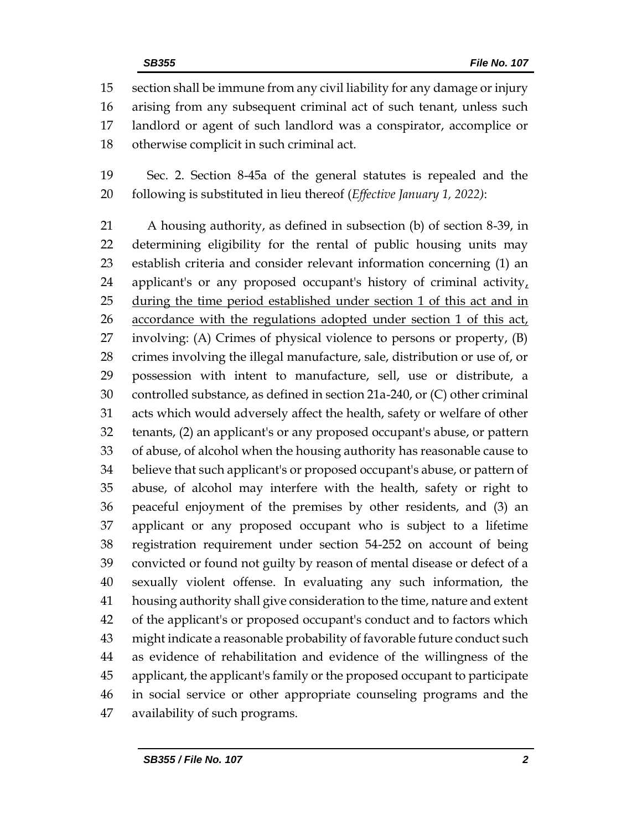section shall be immune from any civil liability for any damage or injury arising from any subsequent criminal act of such tenant, unless such landlord or agent of such landlord was a conspirator, accomplice or otherwise complicit in such criminal act.

 Sec. 2. Section 8-45a of the general statutes is repealed and the following is substituted in lieu thereof (*Effective January 1, 2022)*:

 A housing authority, as defined in subsection (b) of section 8-39, in determining eligibility for the rental of public housing units may establish criteria and consider relevant information concerning (1) an applicant's or any proposed occupant's history of criminal activity, during the time period established under section 1 of this act and in accordance with the regulations adopted under section 1 of this act, involving: (A) Crimes of physical violence to persons or property, (B) crimes involving the illegal manufacture, sale, distribution or use of, or possession with intent to manufacture, sell, use or distribute, a controlled substance, as defined in section 21a-240, or (C) other criminal acts which would adversely affect the health, safety or welfare of other tenants, (2) an applicant's or any proposed occupant's abuse, or pattern of abuse, of alcohol when the housing authority has reasonable cause to believe that such applicant's or proposed occupant's abuse, or pattern of abuse, of alcohol may interfere with the health, safety or right to peaceful enjoyment of the premises by other residents, and (3) an applicant or any proposed occupant who is subject to a lifetime registration requirement under section 54-252 on account of being convicted or found not guilty by reason of mental disease or defect of a sexually violent offense. In evaluating any such information, the housing authority shall give consideration to the time, nature and extent of the applicant's or proposed occupant's conduct and to factors which might indicate a reasonable probability of favorable future conduct such as evidence of rehabilitation and evidence of the willingness of the applicant, the applicant's family or the proposed occupant to participate in social service or other appropriate counseling programs and the availability of such programs.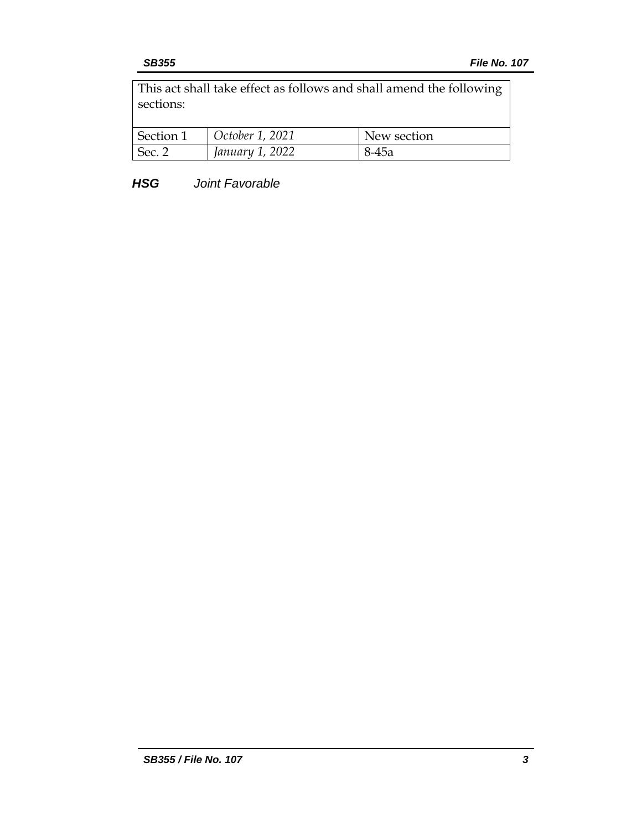This act shall take effect as follows and shall amend the following sections:

| Section 1         | October 1, 2021 | New section |
|-------------------|-----------------|-------------|
| Sec. <sup>o</sup> | January 1, 2022 | $8-45a$     |

*HSG Joint Favorable*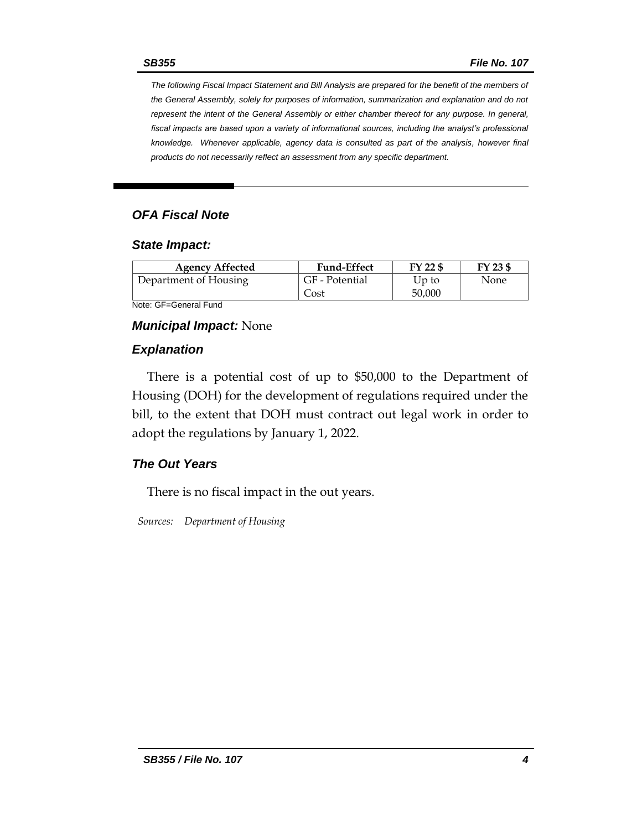*The following Fiscal Impact Statement and Bill Analysis are prepared for the benefit of the members of the General Assembly, solely for purposes of information, summarization and explanation and do not represent the intent of the General Assembly or either chamber thereof for any purpose. In general,*  fiscal impacts are based upon a variety of informational sources, including the analyst's professional *knowledge. Whenever applicable, agency data is consulted as part of the analysis, however final products do not necessarily reflect an assessment from any specific department.*

## *OFA Fiscal Note*

### *State Impact:*

| <b>Agency Affected</b> | <b>Fund-Effect</b> | FY 22 \$ | FY 23 \$ |
|------------------------|--------------------|----------|----------|
| Department of Housing  | GF - Potential     | Up to    | None     |
|                        | Cost               | 50,000   |          |

Note: GF=General Fund

### *Municipal Impact:* None

### *Explanation*

There is a potential cost of up to \$50,000 to the Department of Housing (DOH) for the development of regulations required under the bill, to the extent that DOH must contract out legal work in order to adopt the regulations by January 1, 2022.

### *The Out Years*

There is no fiscal impact in the out years.

*Sources: Department of Housing*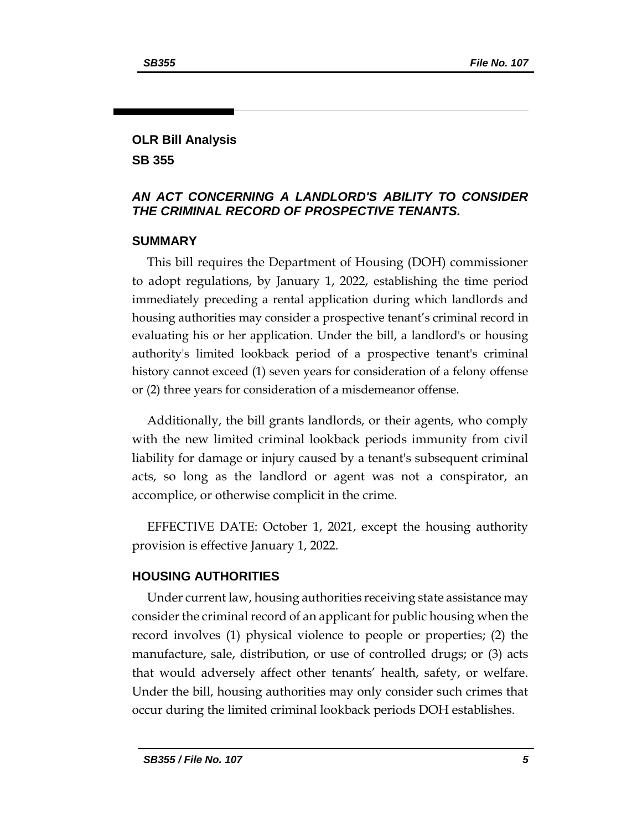# **OLR Bill Analysis**

**SB 355**

# *AN ACT CONCERNING A LANDLORD'S ABILITY TO CONSIDER THE CRIMINAL RECORD OF PROSPECTIVE TENANTS.*

# **SUMMARY**

This bill requires the Department of Housing (DOH) commissioner to adopt regulations, by January 1, 2022, establishing the time period immediately preceding a rental application during which landlords and housing authorities may consider a prospective tenant's criminal record in evaluating his or her application. Under the bill, a landlord's or housing authority's limited lookback period of a prospective tenant's criminal history cannot exceed (1) seven years for consideration of a felony offense or (2) three years for consideration of a misdemeanor offense.

Additionally, the bill grants landlords, or their agents, who comply with the new limited criminal lookback periods immunity from civil liability for damage or injury caused by a tenant's subsequent criminal acts, so long as the landlord or agent was not a conspirator, an accomplice, or otherwise complicit in the crime.

EFFECTIVE DATE: October 1, 2021, except the housing authority provision is effective January 1, 2022.

# **HOUSING AUTHORITIES**

Under current law, housing authorities receiving state assistance may consider the criminal record of an applicant for public housing when the record involves (1) physical violence to people or properties; (2) the manufacture, sale, distribution, or use of controlled drugs; or (3) acts that would adversely affect other tenants' health, safety, or welfare. Under the bill, housing authorities may only consider such crimes that occur during the limited criminal lookback periods DOH establishes.